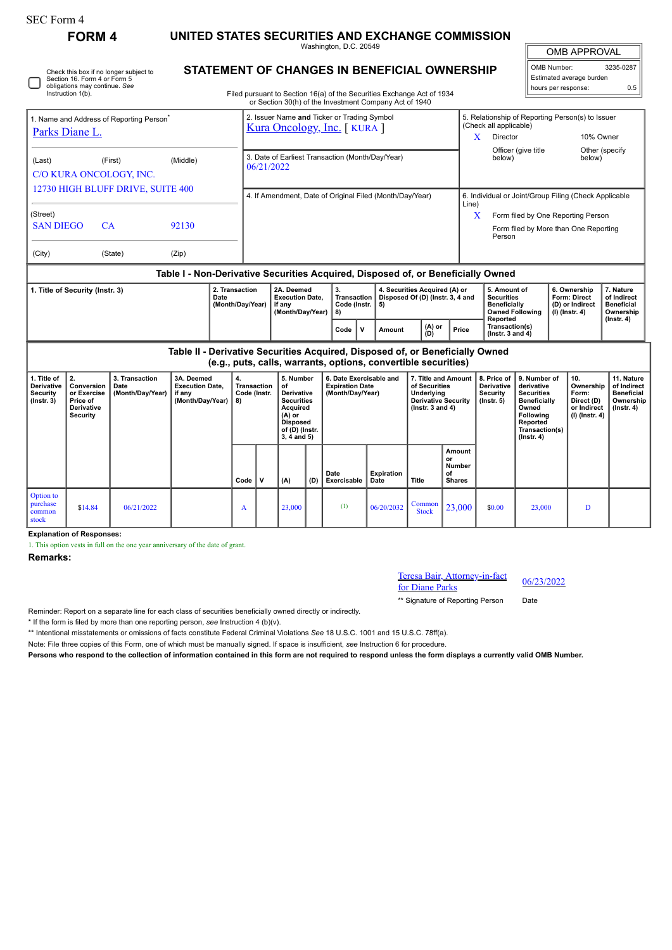| <b>SEC Form 4</b>                                                                                                                                                 | <b>FORM4</b>                                                                 |                                                                            |                                                                               |          |                                                                           |                                                                                                                                                                                  |                                            |                                                                       |                                                                                                    |                                                                                                        |                                                      |                                                                                                                  |                                                                                                                                                     |                                                                                    |                                                                          |                                                                                 |  |
|-------------------------------------------------------------------------------------------------------------------------------------------------------------------|------------------------------------------------------------------------------|----------------------------------------------------------------------------|-------------------------------------------------------------------------------|----------|---------------------------------------------------------------------------|----------------------------------------------------------------------------------------------------------------------------------------------------------------------------------|--------------------------------------------|-----------------------------------------------------------------------|----------------------------------------------------------------------------------------------------|--------------------------------------------------------------------------------------------------------|------------------------------------------------------|------------------------------------------------------------------------------------------------------------------|-----------------------------------------------------------------------------------------------------------------------------------------------------|------------------------------------------------------------------------------------|--------------------------------------------------------------------------|---------------------------------------------------------------------------------|--|
|                                                                                                                                                                   |                                                                              | UNITED STATES SECURITIES AND EXCHANGE COMMISSION<br>Washington, D.C. 20549 |                                                                               |          |                                                                           |                                                                                                                                                                                  |                                            |                                                                       |                                                                                                    |                                                                                                        |                                                      | <b>OMB APPROVAL</b>                                                                                              |                                                                                                                                                     |                                                                                    |                                                                          |                                                                                 |  |
| Check this box if no longer subject to<br>Section 16. Form 4 or Form 5<br>obligations may continue. See<br>Instruction 1(b).                                      |                                                                              |                                                                            |                                                                               |          |                                                                           | STATEMENT OF CHANGES IN BENEFICIAL OWNERSHIP<br>Filed pursuant to Section 16(a) of the Securities Exchange Act of 1934<br>or Section 30(h) of the Investment Company Act of 1940 |                                            |                                                                       |                                                                                                    |                                                                                                        |                                                      |                                                                                                                  |                                                                                                                                                     | OMB Number:<br>3235-0287<br>Estimated average burden<br>hours per response:<br>0.5 |                                                                          |                                                                                 |  |
| 1. Name and Address of Reporting Person <sup>®</sup><br>Parks Diane L.                                                                                            |                                                                              |                                                                            |                                                                               |          | 2. Issuer Name and Ticker or Trading Symbol<br>Kura Oncology, Inc. [KURA] |                                                                                                                                                                                  |                                            |                                                                       |                                                                                                    |                                                                                                        |                                                      | (Check all applicable)<br>Director<br>X                                                                          |                                                                                                                                                     | 5. Relationship of Reporting Person(s) to Issuer<br>10% Owner<br>Other (specify    |                                                                          |                                                                                 |  |
| (Last)<br>(First)<br>(Middle)<br>C/O KURA ONCOLOGY, INC.                                                                                                          |                                                                              |                                                                            |                                                                               |          | 3. Date of Earliest Transaction (Month/Day/Year)<br>06/21/2022            |                                                                                                                                                                                  |                                            |                                                                       |                                                                                                    |                                                                                                        |                                                      | Officer (give title<br>below)<br>below)                                                                          |                                                                                                                                                     |                                                                                    |                                                                          |                                                                                 |  |
| 12730 HIGH BLUFF DRIVE, SUITE 400<br>(Street)<br><b>SAN DIEGO</b><br>CA<br>92130                                                                                  |                                                                              |                                                                            |                                                                               |          | 4. If Amendment, Date of Original Filed (Month/Day/Year)<br>Line)         |                                                                                                                                                                                  |                                            |                                                                       |                                                                                                    |                                                                                                        |                                                      |                                                                                                                  | 6. Individual or Joint/Group Filing (Check Applicable<br>X<br>Form filed by One Reporting Person<br>Form filed by More than One Reporting<br>Person |                                                                                    |                                                                          |                                                                                 |  |
| (City)                                                                                                                                                            |                                                                              | (State)<br>(Zip)                                                           |                                                                               |          |                                                                           |                                                                                                                                                                                  |                                            |                                                                       |                                                                                                    |                                                                                                        |                                                      |                                                                                                                  |                                                                                                                                                     |                                                                                    |                                                                          |                                                                                 |  |
| Table I - Non-Derivative Securities Acquired, Disposed of, or Beneficially Owned<br>2. Transaction<br>1. Title of Security (Instr. 3)<br>Date<br>(Month/Day/Year) |                                                                              |                                                                            |                                                                               |          | 2A. Deemed<br>if anv                                                      |                                                                                                                                                                                  | <b>Execution Date,</b><br>(Month/Day/Year) | 3.<br>Transaction<br>Code (Instr.<br>8)<br>$\mathbf{v}$<br>Code       | 4. Securities Acquired (A) or<br>Disposed Of (D) (Instr. 3, 4 and<br>5)<br>(A) or<br>Amount<br>ÌDÍ |                                                                                                        | Price                                                | 5. Amount of<br><b>Securities</b><br><b>Beneficially</b><br><b>Owned Following</b><br>Reported<br>Transaction(s) |                                                                                                                                                     | 6. Ownership<br>Form: Direct<br>(D) or Indirect<br>$(I)$ (Instr. 4)                |                                                                          | 7. Nature<br>of Indirect<br><b>Beneficial</b><br>Ownership<br>(Instr. 4)        |  |
|                                                                                                                                                                   |                                                                              |                                                                            | Table II - Derivative Securities Acquired, Disposed of, or Beneficially Owned |          |                                                                           |                                                                                                                                                                                  |                                            |                                                                       | (e.g., puts, calls, warrants, options, convertible securities)                                     |                                                                                                        |                                                      | (Instr. $3$ and $4$ )                                                                                            |                                                                                                                                                     |                                                                                    |                                                                          |                                                                                 |  |
| 1. Title of<br>Derivative<br><b>Security</b><br>$($ Instr. 3 $)$                                                                                                  | 2.<br>Conversion<br>or Exercise<br>Price of<br>Derivative<br><b>Security</b> | 3. Transaction<br>Date<br>(Month/Day/Year)                                 | 3A. Deemed<br><b>Execution Date,</b><br>if any<br>(Month/Day/Year)            | 4.<br>8) | Transaction<br>Code (Instr.                                               | 5. Number<br>of<br><b>Derivative</b><br><b>Securities</b><br>Acquired<br>$(A)$ or<br><b>Disposed</b><br>of (D) (Instr.<br>$3, 4$ and $5)$                                        |                                            | 6. Date Exercisable and<br><b>Expiration Date</b><br>(Month/Day/Year) |                                                                                                    | 7. Title and Amount<br>of Securities<br>Underlying<br><b>Derivative Security</b><br>( $lnstr.3$ and 4) |                                                      | 8. Price of<br>Derivative<br><b>Security</b><br>$($ lnstr. 5 $)$                                                 | 9. Number of<br>derivative<br><b>Securities</b><br><b>Beneficially</b><br>Owned<br>Following<br>Reported<br>Transaction(s)<br>$($ Instr. 4 $)$      |                                                                                    | 10.<br>Ownership<br>Form:<br>Direct (D)<br>or Indirect<br>(I) (Instr. 4) | 11. Nature<br>of Indirect<br><b>Beneficial</b><br>Ownership<br>$($ Instr. 4 $)$ |  |
|                                                                                                                                                                   |                                                                              |                                                                            |                                                                               | Code     | $\mathbf v$                                                               | (A)                                                                                                                                                                              | (D)                                        | Date<br>Exercisable                                                   | <b>Expiration</b><br>Date                                                                          | Title                                                                                                  | Amount<br>or<br><b>Number</b><br>of<br><b>Shares</b> |                                                                                                                  |                                                                                                                                                     |                                                                                    |                                                                          |                                                                                 |  |
| Option to<br>purchase<br>common<br>stock                                                                                                                          | \$14.84                                                                      | 06/21/2022                                                                 |                                                                               | A        |                                                                           | 23,000                                                                                                                                                                           |                                            | (1)                                                                   | 06/20/2032                                                                                         | Common<br><b>Stock</b>                                                                                 | 23,000                                               | \$0.00                                                                                                           | 23.000                                                                                                                                              |                                                                                    | $\mathbf{D}$                                                             |                                                                                 |  |

**Explanation of Responses:**

1. This option vests in full on the one year anniversary of the date of grant.

**Remarks:**

Teresa Bair, Attorney-in-fact For Diane Parks 06/23/2022<br>for Diane Parks

\*\* Signature of Reporting Person Date

Reminder: Report on a separate line for each class of securities beneficially owned directly or indirectly.

\* If the form is filed by more than one reporting person, *see* Instruction 4 (b)(v).

\*\* Intentional misstatements or omissions of facts constitute Federal Criminal Violations *See* 18 U.S.C. 1001 and 15 U.S.C. 78ff(a).

Note: File three copies of this Form, one of which must be manually signed. If space is insufficient, *see* Instruction 6 for procedure.

**Persons who respond to the collection of information contained in this form are not required to respond unless the form displays a currently valid OMB Number.**